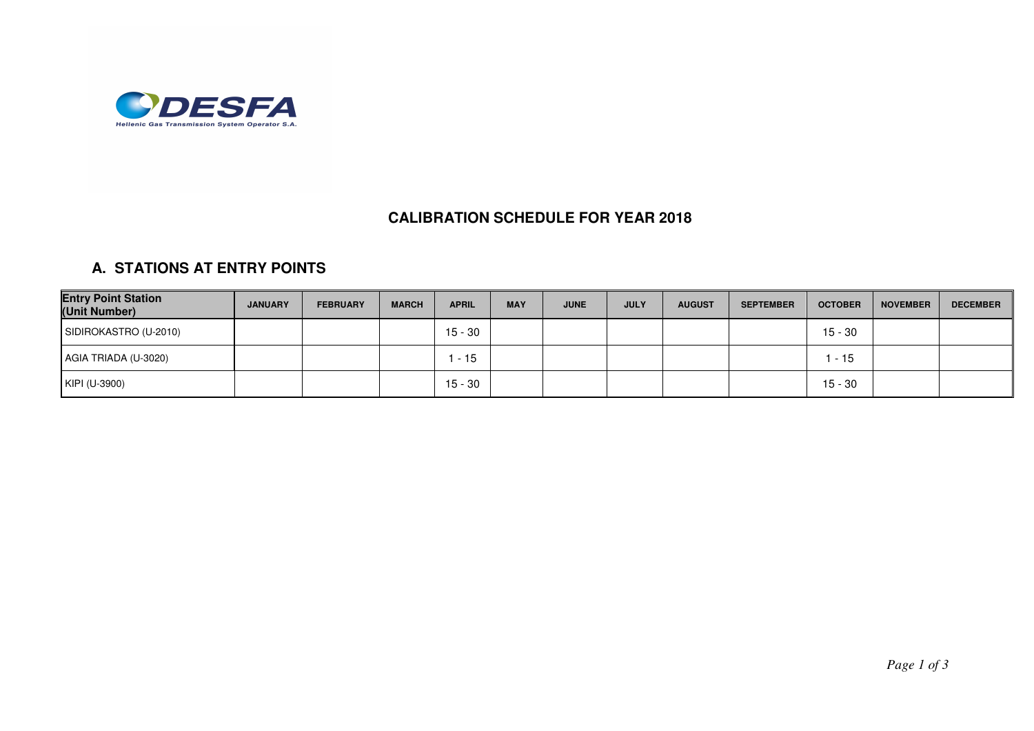

## **CALIBRATION SCHEDULE FOR YEAR 2018**

## **A. STATIONS AT ENTRY POINTS**

| <b>Entry Point Station</b><br>(Unit Number) | <b>JANUARY</b> | <b>FEBRUARY</b> | <b>MARCH</b> | <b>APRIL</b> | <b>MAY</b> | <b>JUNE</b> | <b>JULY</b> | <b>AUGUST</b> | <b>SEPTEMBER</b> | <b>OCTOBER</b> | <b>NOVEMBER</b> | <b>DECEMBER</b> |
|---------------------------------------------|----------------|-----------------|--------------|--------------|------------|-------------|-------------|---------------|------------------|----------------|-----------------|-----------------|
| SIDIROKASTRO (U-2010)                       |                |                 |              | $15 - 30$    |            |             |             |               |                  | $15 - 30$      |                 |                 |
| AGIA TRIADA (U-3020)                        |                |                 |              | - 15         |            |             |             |               |                  | $-15$          |                 |                 |
| KIPI (U-3900)                               |                |                 |              | $15 - 30$    |            |             |             |               |                  | $15 - 30$      |                 |                 |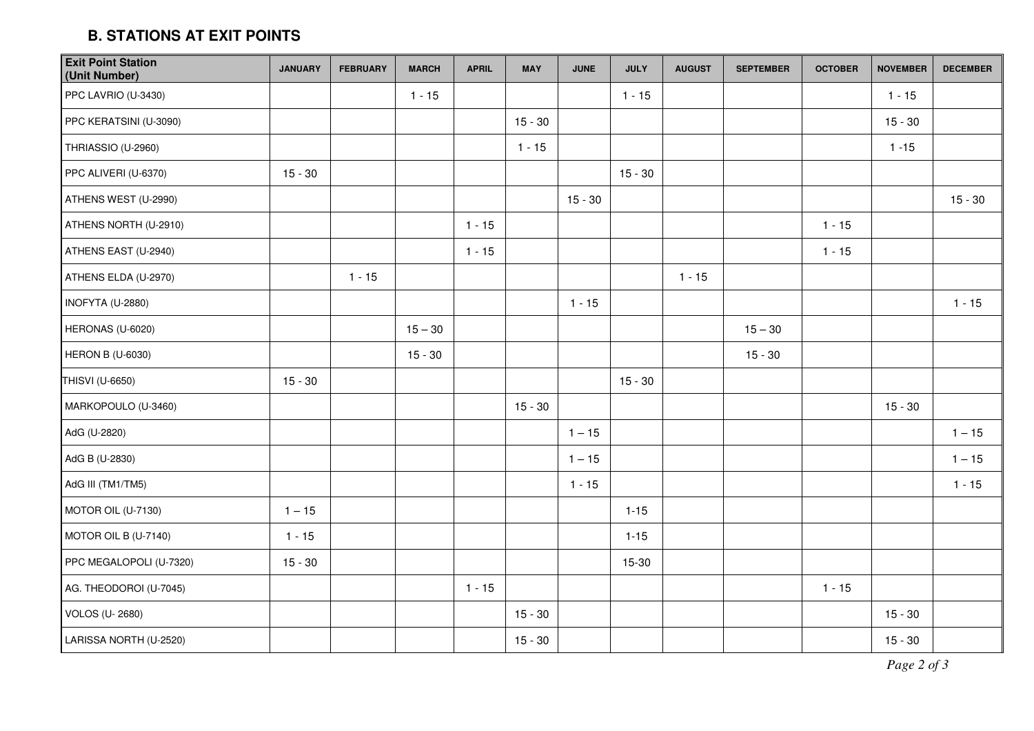## **B. STATIONS AT EXIT POINTS**

| <b>Exit Point Station</b><br>(Unit Number) | <b>JANUARY</b> | <b>FEBRUARY</b> | <b>MARCH</b> | <b>APRIL</b> | <b>MAY</b> | <b>JUNE</b> | <b>JULY</b> | <b>AUGUST</b> | <b>SEPTEMBER</b> | <b>OCTOBER</b> | <b>NOVEMBER</b> | <b>DECEMBER</b> |
|--------------------------------------------|----------------|-----------------|--------------|--------------|------------|-------------|-------------|---------------|------------------|----------------|-----------------|-----------------|
| PPC LAVRIO (U-3430)                        |                |                 | $1 - 15$     |              |            |             | $1 - 15$    |               |                  |                | $1 - 15$        |                 |
| PPC KERATSINI (U-3090)                     |                |                 |              |              | $15 - 30$  |             |             |               |                  |                | $15 - 30$       |                 |
| THRIASSIO (U-2960)                         |                |                 |              |              | $1 - 15$   |             |             |               |                  |                | $1 - 15$        |                 |
| PPC ALIVERI (U-6370)                       | $15 - 30$      |                 |              |              |            |             | $15 - 30$   |               |                  |                |                 |                 |
| ATHENS WEST (U-2990)                       |                |                 |              |              |            | $15 - 30$   |             |               |                  |                |                 | $15 - 30$       |
| ATHENS NORTH (U-2910)                      |                |                 |              | $1 - 15$     |            |             |             |               |                  | $1 - 15$       |                 |                 |
| ATHENS EAST (U-2940)                       |                |                 |              | $1 - 15$     |            |             |             |               |                  | $1 - 15$       |                 |                 |
| ATHENS ELDA (U-2970)                       |                | $1 - 15$        |              |              |            |             |             | $1 - 15$      |                  |                |                 |                 |
| INOFYTA (U-2880)                           |                |                 |              |              |            | $1 - 15$    |             |               |                  |                |                 | $1 - 15$        |
| HERONAS (U-6020)                           |                |                 | $15 - 30$    |              |            |             |             |               | $15 - 30$        |                |                 |                 |
| <b>HERON B (U-6030)</b>                    |                |                 | $15 - 30$    |              |            |             |             |               | $15 - 30$        |                |                 |                 |
| THISVI (U-6650)                            | $15 - 30$      |                 |              |              |            |             | $15 - 30$   |               |                  |                |                 |                 |
| MARKOPOULO (U-3460)                        |                |                 |              |              | $15 - 30$  |             |             |               |                  |                | $15 - 30$       |                 |
| AdG (U-2820)                               |                |                 |              |              |            | $1 - 15$    |             |               |                  |                |                 | $1 - 15$        |
| AdG B (U-2830)                             |                |                 |              |              |            | $1 - 15$    |             |               |                  |                |                 | $1 - 15$        |
| AdG III (TM1/TM5)                          |                |                 |              |              |            | $1 - 15$    |             |               |                  |                |                 | $1 - 15$        |
| MOTOR OIL (U-7130)                         | $1 - 15$       |                 |              |              |            |             | $1 - 15$    |               |                  |                |                 |                 |
| MOTOR OIL B (U-7140)                       | $1 - 15$       |                 |              |              |            |             | $1 - 15$    |               |                  |                |                 |                 |
| PPC MEGALOPOLI (U-7320)                    | $15 - 30$      |                 |              |              |            |             | 15-30       |               |                  |                |                 |                 |
| AG. THEODOROI (U-7045)                     |                |                 |              | $1 - 15$     |            |             |             |               |                  | $1 - 15$       |                 |                 |
| <b>VOLOS (U-2680)</b>                      |                |                 |              |              | $15 - 30$  |             |             |               |                  |                | $15 - 30$       |                 |
| LARISSA NORTH (U-2520)                     |                |                 |              |              | $15 - 30$  |             |             |               |                  |                | $15 - 30$       |                 |

*Page 2 of 3*